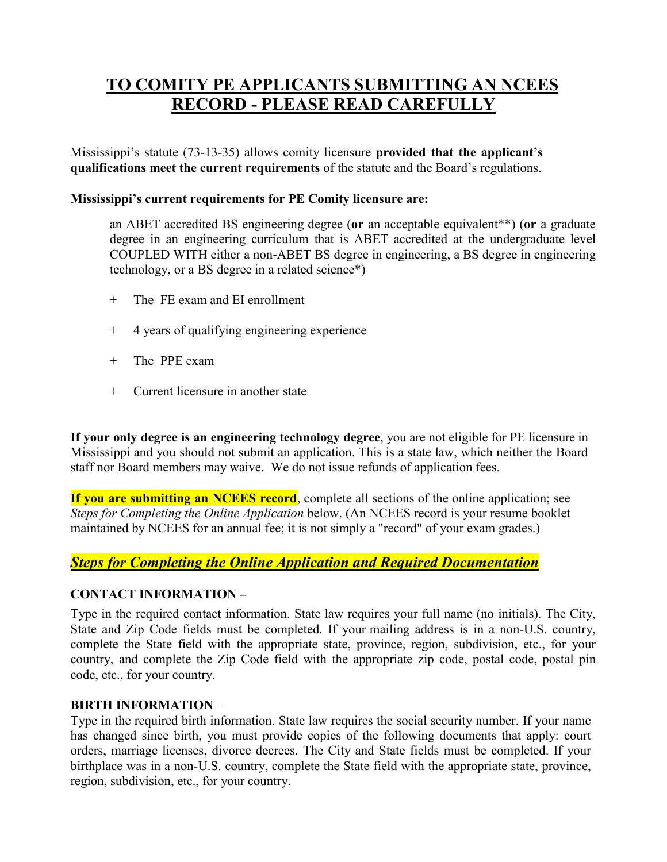# **TO COMITY PE APPLICANTS SUBMITTING AN NCEES RECORD - PLEASE READ CAREFULLY**

Mississippi's statute (73-13-35) allows comity licensure **provided that the applicant's qualifications meet the current requirements** of the statute and the Board's regulations.

#### **Mississippi's current requirements for PE Comity licensure are:**

an ABET accredited BS engineering degree (**or** an acceptable equivalent\*\*) (**or** a graduate degree in an engineering curriculum that is ABET accredited at the undergraduate level COUPLED WITH either a non-ABET BS degree in engineering, a BS degree in engineering technology, or a BS degree in a related science\*)

- + The FE exam and EI enrollment
- + 4 years of qualifying engineering experience
- + The PPE exam
- + Current licensure in another state

**If your only degree is an engineering technology degree**, you are not eligible for PE licensure in Mississippi and you should not submit an application. This is a state law, which neither the Board staff nor Board members may waive. We do not issue refunds of application fees.

**If you are submitting an NCEES record**, complete all sections of the online application; see *Steps for Completing the Online Application* below. (An NCEES record is your resume booklet maintained by NCEES for an annual fee; it is not simply a "record" of your exam grades.)

## *Steps for Completing the Online Application and Required Documentation*

#### **CONTACT INFORMATION –**

Type in the required contact information. State law requires your full name (no initials). The City, State and Zip Code fields must be completed. If your mailing address is in a non-U.S. country, complete the State field with the appropriate state, province, region, subdivision, etc., for your country, and complete the Zip Code field with the appropriate zip code, postal code, postal pin code, etc., for your country.

#### **BIRTH INFORMATION** –

Type in the required birth information. State law requires the social security number. If your name has changed since birth, you must provide copies of the following documents that apply: court orders, marriage licenses, divorce decrees. The City and State fields must be completed. If your birthplace was in a non-U.S. country, complete the State field with the appropriate state, province, region, subdivision, etc., for your country.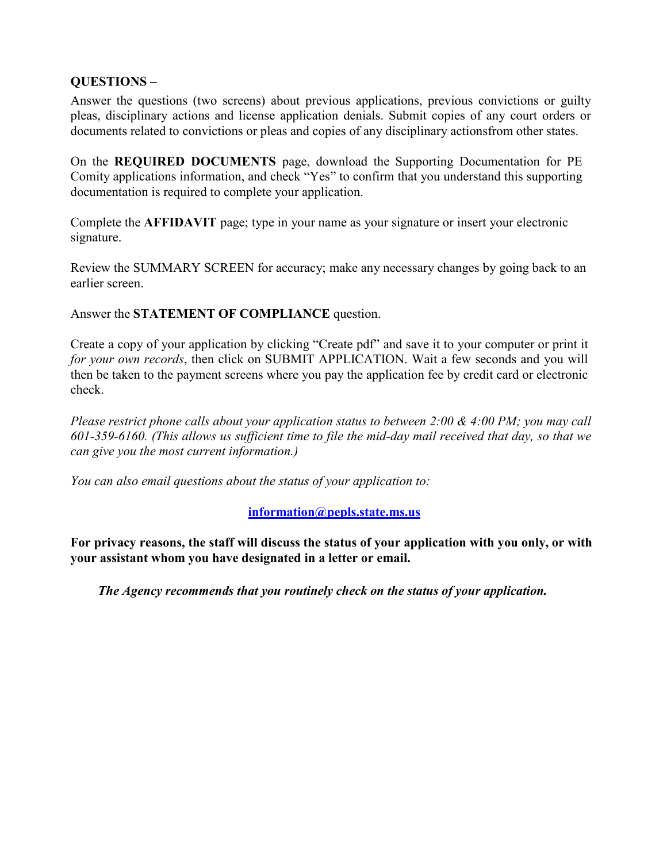## **QUESTIONS** –

Answer the questions (two screens) about previous applications, previous convictions or guilty pleas, disciplinary actions and license application denials. Submit copies of any court orders or documents related to convictions or pleas and copies of any disciplinary actionsfrom other states.

On the **REQUIRED DOCUMENTS** page, download the Supporting Documentation for PE Comity applications information, and check "Yes" to confirm that you understand this supporting documentation is required to complete your application.

Complete the **AFFIDAVIT** page; type in your name as your signature or insert your electronic signature.

Review the SUMMARY SCREEN for accuracy; make any necessary changes by going back to an earlier screen.

Answer the **STATEMENT OF COMPLIANCE** question.

Create a copy of your application by clicking "Create pdf" and save it to your computer or print it *for your own records*, then click on SUBMIT APPLICATION. Wait a few seconds and you will then be taken to the payment screens where you pay the application fee by credit card or electronic check.

*Please restrict phone calls about your application status to between 2:00 & 4:00 PM; you may call 601-359-6160. (This allows us sufficient time to file the mid-day mail received that day, so that we can give you the most current information.)*

*You can also email questions about the status of your application to:*

#### **[information@pepls.state.ms.us](mailto:information@pepls.state.ms.us)**

**For privacy reasons, the staff will discuss the status of your application with you only, or with your assistant whom you have designated in a letter or email.**

*The Agency recommends that you routinely check on the status of your application.*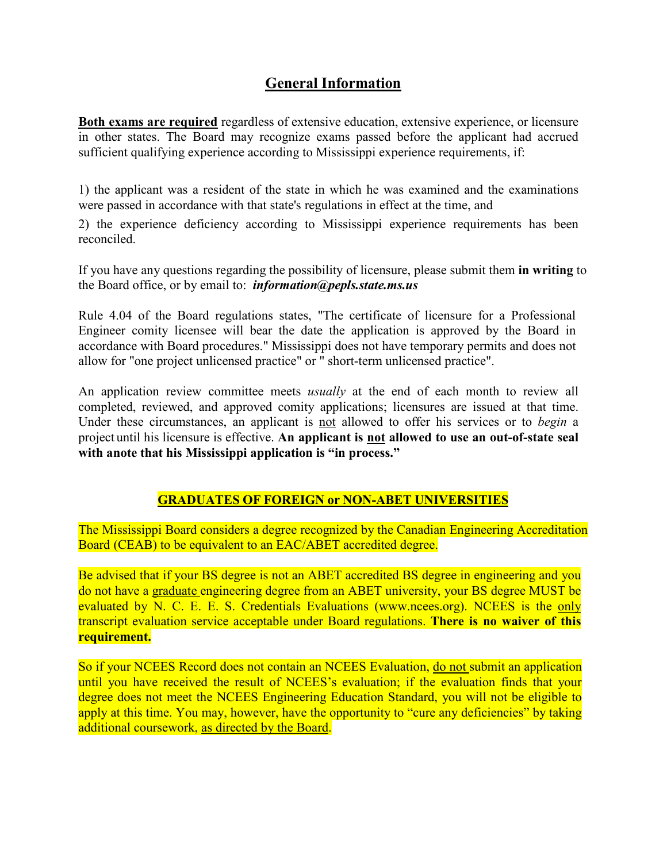## **General Information**

**Both exams are required** regardless of extensive education, extensive experience, or licensure in other states. The Board may recognize exams passed before the applicant had accrued sufficient qualifying experience according to Mississippi experience requirements, if:

1) the applicant was a resident of the state in which he was examined and the examinations were passed in accordance with that state's regulations in effect at the time, and

2) the experience deficiency according to Mississippi experience requirements has been reconciled.

If you have any questions regarding the possibility of licensure, please submit them **in writing** to the Board office, or by email to: *[information@pepls.state.ms.us](mailto:information@pepls.state.ms.us)*

Rule 4.04 of the Board regulations states, "The certificate of licensure for a Professional Engineer comity licensee will bear the date the application is approved by the Board in accordance with Board procedures." Mississippi does not have temporary permits and does not allow for "one project unlicensed practice" or " short-term unlicensed practice".

An application review committee meets *usually* at the end of each month to review all completed, reviewed, and approved comity applications; licensures are issued at that time. Under these circumstances, an applicant is not allowed to offer his services or to *begin* a project until his licensure is effective. **An applicant is not allowed to use an out-of-state seal with anote that his Mississippi application is "in process."**

## **GRADUATES OF FOREIGN or NON-ABET UNIVERSITIES**

The Mississippi Board considers a degree recognized by the Canadian Engineering Accreditation Board (CEAB) to be equivalent to an EAC/ABET accredited degree.

Be advised that if your BS degree is not an ABET accredited BS degree in engineering and you do not have a graduate engineering degree from an ABET university, your BS degree MUST be evaluated by N. C. E. E. S. Credentials Evaluations (www.ncees.org). NCEES is the only transcript evaluation service acceptable under Board regulations. **There is no waiver of this requirement.**

So if your NCEES Record does not contain an NCEES Evaluation, do not submit an application until you have received the result of NCEES's evaluation; if the evaluation finds that your degree does not meet the NCEES Engineering Education Standard, you will not be eligible to apply at this time. You may, however, have the opportunity to "cure any deficiencies" by taking additional coursework, as directed by the Board.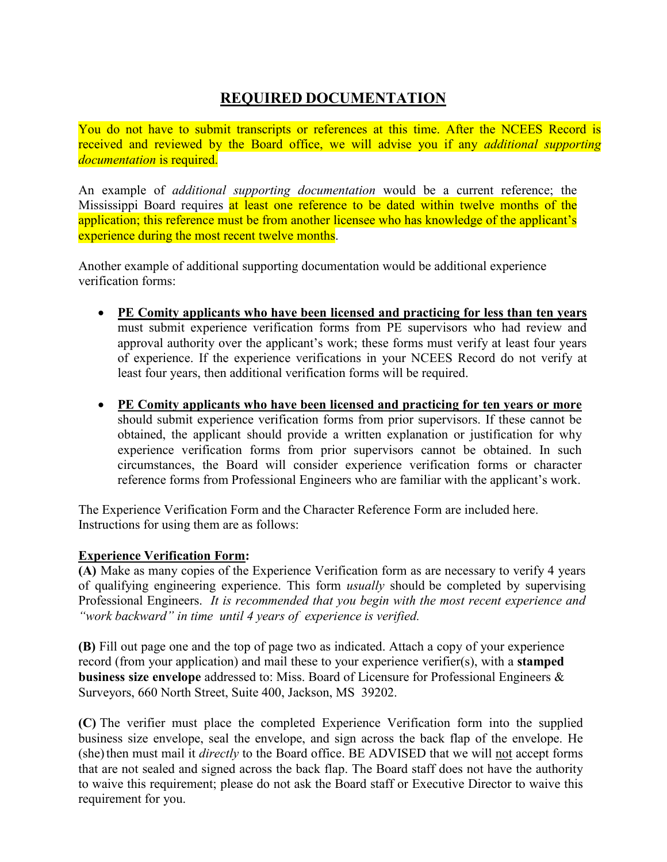## **REQUIRED DOCUMENTATION**

You do not have to submit transcripts or references at this time. After the NCEES Record is received and reviewed by the Board office, we will advise you if any *additional supporting documentation* is required.

An example of *additional supporting documentation* would be a current reference; the Mississippi Board requires at least one reference to be dated within twelve months of the application; this reference must be from another licensee who has knowledge of the applicant's experience during the most recent twelve months.

Another example of additional supporting documentation would be additional experience verification forms:

- **PE Comity applicants who have been licensed and practicing for less than ten years** must submit experience verification forms from PE supervisors who had review and approval authority over the applicant's work; these forms must verify at least four years of experience. If the experience verifications in your NCEES Record do not verify at least four years, then additional verification forms will be required.
- **PE Comity applicants who have been licensed and practicing for ten years or more** should submit experience verification forms from prior supervisors. If these cannot be obtained, the applicant should provide a written explanation or justification for why experience verification forms from prior supervisors cannot be obtained. In such circumstances, the Board will consider experience verification forms or character reference forms from Professional Engineers who are familiar with the applicant's work.

The Experience Verification Form and the Character Reference Form are included here. Instructions for using them are as follows:

## **Experience Verification Form:**

**(A)** Make as many copies of the Experience Verification form as are necessary to verify 4 years of qualifying engineering experience. This form *usually* should be completed by supervising Professional Engineers. *It is recommended that you begin with the most recent experience and "work backward" in time until 4 years of experience is verified.*

**(B)** Fill out page one and the top of page two as indicated. Attach a copy of your experience record (from your application) and mail these to your experience verifier(s), with a **stamped business size envelope** addressed to: Miss. Board of Licensure for Professional Engineers & Surveyors, 660 North Street, Suite 400, Jackson, MS 39202.

**(C)** The verifier must place the completed Experience Verification form into the supplied business size envelope, seal the envelope, and sign across the back flap of the envelope. He (she) then must mail it *directly* to the Board office. BE ADVISED that we will not accept forms that are not sealed and signed across the back flap. The Board staff does not have the authority to waive this requirement; please do not ask the Board staff or Executive Director to waive this requirement for you.